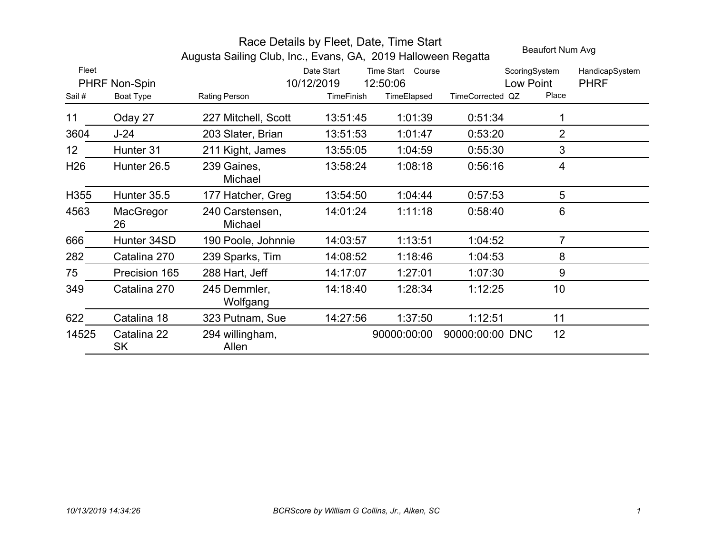| Augusta Sailing Club, Inc., Evans, GA, 2019 Halloween Regatta |                          |                            |            |                   |                  | Beaufort Num Avg |                |
|---------------------------------------------------------------|--------------------------|----------------------------|------------|-------------------|------------------|------------------|----------------|
| Fleet                                                         |                          |                            | Date Start | Time Start Course |                  | ScoringSystem    | HandicapSystem |
|                                                               | PHRF Non-Spin            |                            | 10/12/2019 | 12:50:06          |                  | Low Point        | <b>PHRF</b>    |
| Sail#                                                         | Boat Type                | Rating Person              | TimeFinish | TimeElapsed       | TimeCorrected QZ | Place            |                |
| 11                                                            | Oday 27                  | 227 Mitchell, Scott        | 13:51:45   | 1:01:39           | 0:51:34          |                  |                |
| 3604                                                          | $J-24$                   | 203 Slater, Brian          | 13:51:53   | 1:01:47           | 0:53:20          | $\overline{2}$   |                |
| 12 <sub>2</sub>                                               | Hunter 31                | 211 Kight, James           | 13:55:05   | 1:04:59           | 0:55:30          | 3                |                |
| H <sub>26</sub>                                               | Hunter 26.5              | 239 Gaines,<br>Michael     | 13:58:24   | 1:08:18           | 0:56:16          | 4                |                |
| H355                                                          | Hunter 35.5              | 177 Hatcher, Greg          | 13:54:50   | 1:04:44           | 0.57:53          | 5                |                |
| 4563                                                          | MacGregor<br>26          | 240 Carstensen,<br>Michael | 14:01:24   | 1:11:18           | 0:58:40          | 6                |                |
| 666                                                           | Hunter 34SD              | 190 Poole, Johnnie         | 14:03:57   | 1:13:51           | 1:04:52          | 7                |                |
| 282                                                           | Catalina 270             | 239 Sparks, Tim            | 14:08:52   | 1:18:46           | 1:04:53          | 8                |                |
| 75                                                            | Precision 165            | 288 Hart, Jeff             | 14:17:07   | 1:27:01           | 1:07:30          | 9                |                |
| 349                                                           | Catalina 270             | 245 Demmler,<br>Wolfgang   | 14:18:40   | 1:28:34           | 1:12:25          | 10               |                |
| 622                                                           | Catalina 18              | 323 Putnam, Sue            | 14:27:56   | 1:37:50           | 1:12:51          | 11               |                |
| 14525                                                         | Catalina 22<br><b>SK</b> | 294 willingham,<br>Allen   |            | 90000:00:00       | 90000:00:00 DNC  | 12 <sup>2</sup>  |                |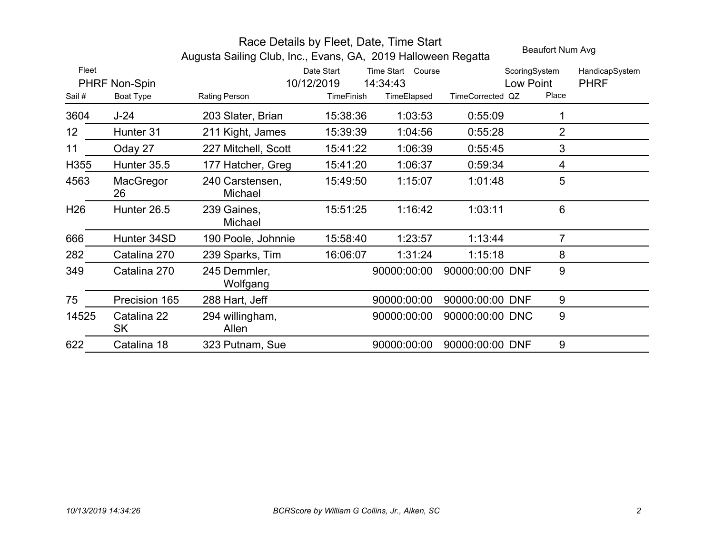| Augusta Sailing Club, Inc., Evans, GA, 2019 Halloween Regatta |                          |                            |                   |                   |                  | Beaufort Num Avg |                |
|---------------------------------------------------------------|--------------------------|----------------------------|-------------------|-------------------|------------------|------------------|----------------|
| Fleet                                                         |                          |                            | Date Start        | Time Start Course |                  | ScoringSystem    | HandicapSystem |
|                                                               | PHRF Non-Spin            |                            | 10/12/2019        | 14:34:43          |                  | Low Point        | <b>PHRF</b>    |
| Sail #                                                        | Boat Type                | Rating Person              | <b>TimeFinish</b> | TimeElapsed       | TimeCorrected QZ | Place            |                |
| 3604                                                          | $J-24$                   | 203 Slater, Brian          | 15:38:36          | 1:03:53           | 0:55:09          |                  |                |
| 12 <sub>2</sub>                                               | Hunter 31                | 211 Kight, James           | 15:39:39          | 1:04:56           | 0:55:28          | $\overline{2}$   |                |
| 11                                                            | Oday 27                  | 227 Mitchell, Scott        | 15:41:22          | 1:06:39           | 0:55:45          | 3                |                |
| H355                                                          | Hunter 35.5              | 177 Hatcher, Greg          | 15:41:20          | 1:06:37           | 0:59:34          | 4                |                |
| 4563                                                          | MacGregor<br>26          | 240 Carstensen,<br>Michael | 15:49:50          | 1:15:07           | 1:01:48          | 5                |                |
| H <sub>26</sub>                                               | Hunter 26.5              | 239 Gaines,<br>Michael     | 15:51:25          | 1:16:42           | 1:03:11          | 6                |                |
| 666                                                           | Hunter 34SD              | 190 Poole, Johnnie         | 15:58:40          | 1:23:57           | 1:13:44          | $\overline{7}$   |                |
| 282                                                           | Catalina 270             | 239 Sparks, Tim            | 16:06:07          | 1:31:24           | 1:15:18          | 8                |                |
| 349                                                           | Catalina 270             | 245 Demmler,<br>Wolfgang   |                   | 90000:00:00       | 90000:00:00 DNF  | 9                |                |
| 75                                                            | Precision 165            | 288 Hart, Jeff             |                   | 90000:00:00       | 90000:00:00 DNF  | 9                |                |
| 14525                                                         | Catalina 22<br><b>SK</b> | 294 willingham,<br>Allen   |                   | 90000:00:00       | 90000:00:00 DNC  | 9                |                |
| 622                                                           | Catalina 18              | 323 Putnam, Sue            |                   | 90000:00:00       | 90000:00:00 DNF  | 9                |                |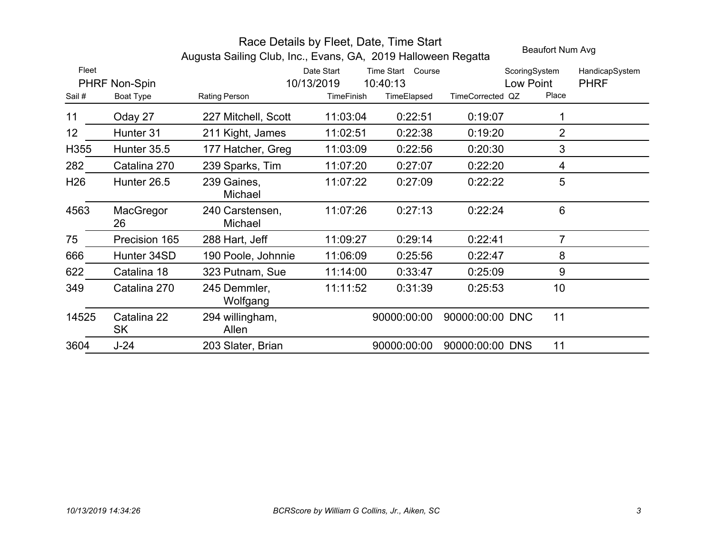|                 |                          | Augusta Sailing Club, Inc., Evans, GA, 2019 Halloween Regatta |                   |                   |                  | Beaufort Num Avg |                |
|-----------------|--------------------------|---------------------------------------------------------------|-------------------|-------------------|------------------|------------------|----------------|
| Fleet           |                          |                                                               | Date Start        | Time Start Course |                  | ScoringSystem    | HandicapSystem |
|                 | PHRF Non-Spin            |                                                               | 10/13/2019        | 10:40:13          |                  | Low Point        | <b>PHRF</b>    |
| Sail#           | Boat Type                | Rating Person                                                 | <b>TimeFinish</b> | TimeElapsed       | TimeCorrected QZ | Place            |                |
| 11              | Oday 27                  | 227 Mitchell, Scott                                           | 11:03:04          | 0:22:51           | 0:19:07          |                  |                |
| 12 <sub>2</sub> | Hunter 31                | 211 Kight, James                                              | 11:02:51          | 0:22:38           | 0:19:20          | $\overline{2}$   |                |
| H355            | Hunter 35.5              | 177 Hatcher, Greg                                             | 11:03:09          | 0:22:56           | 0:20:30          | 3                |                |
| 282             | Catalina 270             | 239 Sparks, Tim                                               | 11:07:20          | 0:27:07           | 0:22:20          | 4                |                |
| H <sub>26</sub> | Hunter 26.5              | 239 Gaines,<br>Michael                                        | 11:07:22          | 0:27:09           | 0:22:22          | 5                |                |
| 4563            | MacGregor<br>26          | 240 Carstensen,<br>Michael                                    | 11:07:26          | 0:27:13           | 0:22:24          | 6                |                |
| 75              | Precision 165            | 288 Hart, Jeff                                                | 11:09:27          | 0:29:14           | 0:22:41          | 7                |                |
| 666             | Hunter 34SD              | 190 Poole, Johnnie                                            | 11:06:09          | 0:25:56           | 0:22:47          | 8                |                |
| 622             | Catalina 18              | 323 Putnam, Sue                                               | 11:14:00          | 0:33:47           | 0:25:09          | 9                |                |
| 349             | Catalina 270             | 245 Demmler,<br>Wolfgang                                      | 11:11:52          | 0:31:39           | 0:25:53          | 10               |                |
| 14525           | Catalina 22<br><b>SK</b> | 294 willingham,<br>Allen                                      |                   | 90000:00:00       | 90000:00:00 DNC  | 11               |                |
| 3604            | $J-24$                   | 203 Slater, Brian                                             |                   | 90000:00:00       | 90000:00:00 DNS  | 11               |                |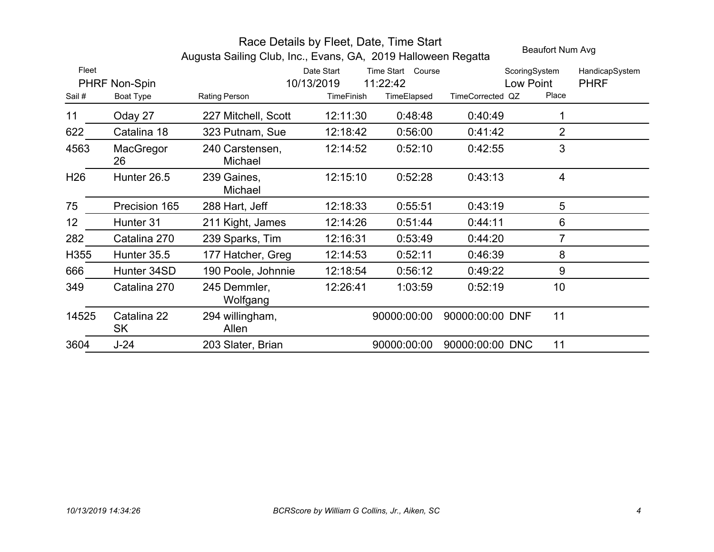|                 |                          | Augusta Sailing Club, Inc., Evans, GA, 2019 Halloween Regatta |            |                   |                  | Beaufort Num Avg |                |
|-----------------|--------------------------|---------------------------------------------------------------|------------|-------------------|------------------|------------------|----------------|
| Fleet           |                          |                                                               | Date Start | Time Start Course |                  | ScoringSystem    | HandicapSystem |
|                 | PHRF Non-Spin            |                                                               | 10/13/2019 | 11:22:42          |                  | Low Point        | <b>PHRF</b>    |
| Sail#           | Boat Type                | Rating Person                                                 | TimeFinish | TimeElapsed       | TimeCorrected QZ | Place            |                |
| 11              | Oday 27                  | 227 Mitchell, Scott                                           | 12:11:30   | 0:48:48           | 0:40:49          |                  |                |
| 622             | Catalina 18              | 323 Putnam, Sue                                               | 12:18:42   | 0:56:00           | 0:41:42          | $\overline{2}$   |                |
| 4563            | MacGregor<br>26          | 240 Carstensen,<br>Michael                                    | 12:14:52   | 0:52:10           | 0:42:55          | 3                |                |
| H <sub>26</sub> | Hunter 26.5              | 239 Gaines,<br>Michael                                        | 12:15:10   | 0:52:28           | 0:43:13          | 4                |                |
| 75              | Precision 165            | 288 Hart, Jeff                                                | 12:18:33   | 0:55:51           | 0:43:19          | 5                |                |
| 12              | Hunter 31                | 211 Kight, James                                              | 12:14:26   | 0:51:44           | 0.44:11          | 6                |                |
| 282             | Catalina 270             | 239 Sparks, Tim                                               | 12:16:31   | 0:53:49           | 0.44:20          | $\overline{7}$   |                |
| H355            | Hunter 35.5              | 177 Hatcher, Greg                                             | 12:14:53   | 0:52:11           | 0:46:39          | 8                |                |
| 666             | Hunter 34SD              | 190 Poole, Johnnie                                            | 12:18:54   | 0:56:12           | 0:49:22          | 9                |                |
| 349             | Catalina 270             | 245 Demmler,<br>Wolfgang                                      | 12:26:41   | 1:03:59           | 0:52:19          | 10               |                |
| 14525           | Catalina 22<br><b>SK</b> | 294 willingham,<br>Allen                                      |            | 90000:00:00       | 90000:00:00 DNF  | 11               |                |
| 3604            | $J-24$                   | 203 Slater, Brian                                             |            | 90000:00:00       | 90000:00:00 DNC  | 11               |                |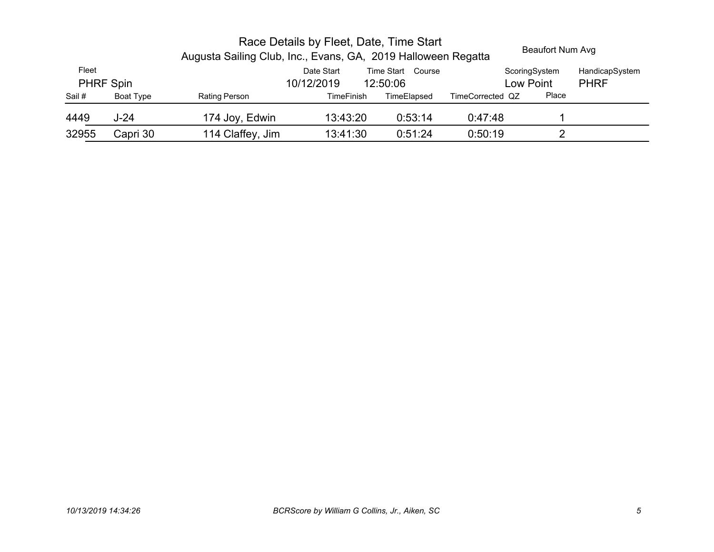|        |                  |                  | Race Details by Fleet, Date, Time Start<br>Beaufort Num Avg<br>Augusta Sailing Club, Inc., Evans, GA, 2019 Halloween Regatta |                               |                  |                            |                               |
|--------|------------------|------------------|------------------------------------------------------------------------------------------------------------------------------|-------------------------------|------------------|----------------------------|-------------------------------|
| Fleet  | <b>PHRF Spin</b> |                  | Date Start<br>10/12/2019                                                                                                     | Time Start Course<br>12:50:06 |                  | ScoringSystem<br>Low Point | HandicapSystem<br><b>PHRF</b> |
| Sail # | Boat Type        | Rating Person    | <b>TimeFinish</b>                                                                                                            | TimeElapsed                   | TimeCorrected QZ | Place                      |                               |
| 4449   | $J-24$           | 174 Joy, Edwin   | 13:43:20                                                                                                                     | 0:53:14                       | 0:47:48          |                            |                               |
| 32955  | Capri 30         | 114 Claffey, Jim | 13:41:30                                                                                                                     | 0:51:24                       | 0:50:19          | っ                          |                               |
|        |                  |                  |                                                                                                                              |                               |                  |                            |                               |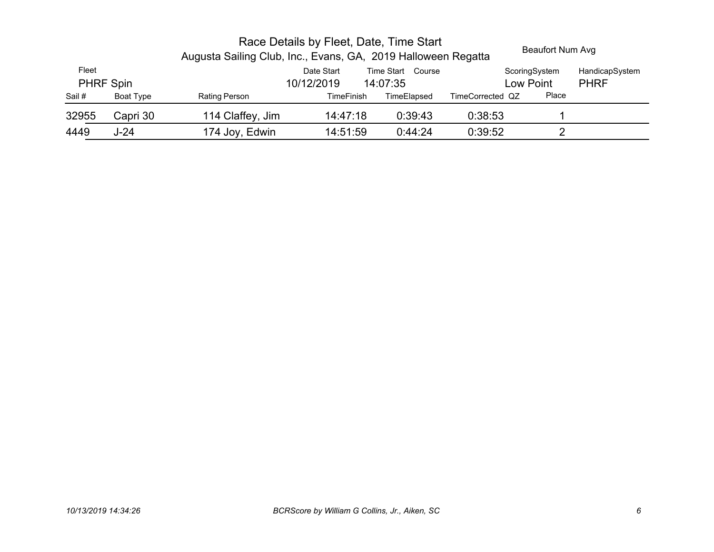|                  |                  |                          |             |                        |                                                               | Beaufort Num Avg                                                                          |  |  |
|------------------|------------------|--------------------------|-------------|------------------------|---------------------------------------------------------------|-------------------------------------------------------------------------------------------|--|--|
| <b>PHRF Spin</b> |                  | Date Start<br>10/12/2019 | Course      |                        |                                                               | HandicapSystem<br><b>PHRF</b>                                                             |  |  |
| Boat Type        | Rating Person    | TimeFinish               | TimeElapsed |                        | Place                                                         |                                                                                           |  |  |
| Capri 30         | 114 Claffey, Jim | 14:47:18                 | 0:39:43     | 0.38.53                |                                                               |                                                                                           |  |  |
| $J-24$           | 174 Joy, Edwin   | 14:51:59                 | 0:44:24     | 0:39:52                |                                                               |                                                                                           |  |  |
|                  |                  |                          |             | Time Start<br>14:07:35 | Augusta Sailing Club, Inc., Evans, GA, 2019 Halloween Regatta | Race Details by Fleet, Date, Time Start<br>ScoringSystem<br>Low Point<br>TimeCorrected QZ |  |  |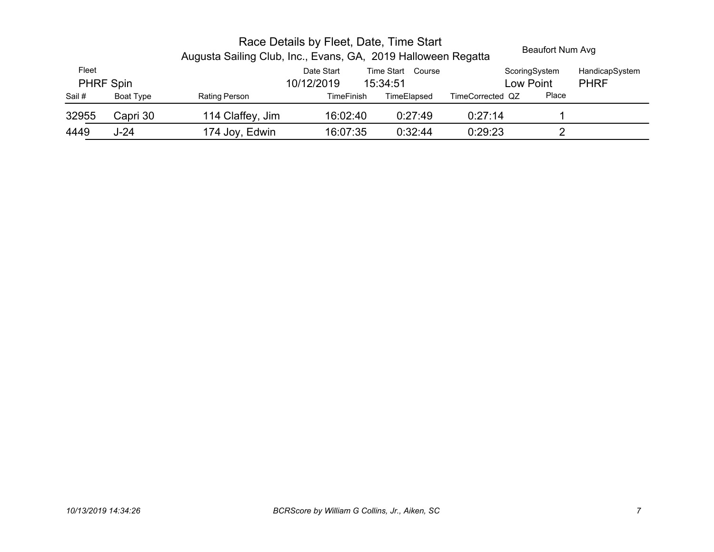| Augusta Sailing Club, Inc., Evans, GA, 2019 Halloween Regatta                                       | Beaufort Num Avg                                            |
|-----------------------------------------------------------------------------------------------------|-------------------------------------------------------------|
| Fleet<br>Time Start<br>Date Start<br>Course<br><b>PHRF Spin</b><br>10/12/2019<br>15:34:51           | HandicapSystem<br>ScoringSystem<br>Low Point<br><b>PHRF</b> |
| Sail #<br>Boat Type<br>TimeElapsed<br>TimeCorrected QZ<br><b>Rating Person</b><br><b>TimeFinish</b> | Place                                                       |
| 32955<br>0:27:49<br>114 Claffey, Jim<br>16:02:40<br>0:27:14<br>Capri 30                             |                                                             |
| 4449<br>0:32:44<br>$J-24$<br>174 Joy, Edwin<br>16:07:35<br>0.29.23                                  |                                                             |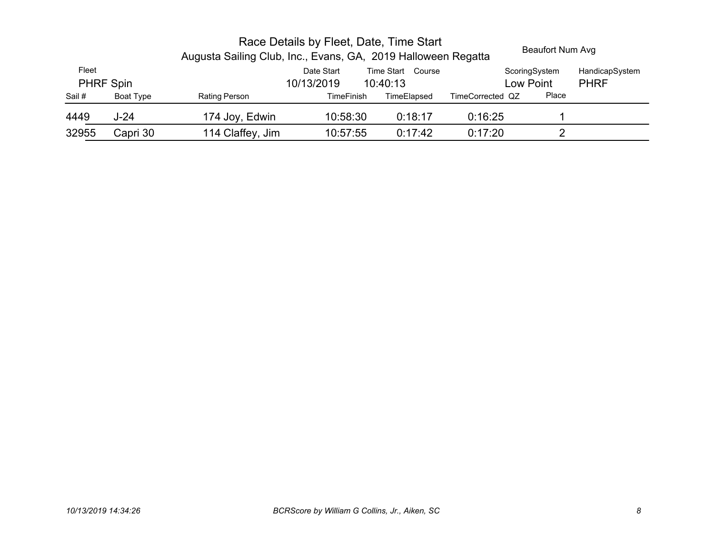| Race Details by Fleet, Date, Time Start<br>Augusta Sailing Club, Inc., Evans, GA, 2019 Halloween Regatta |                          |             |                               |       |                                                                    |  |
|----------------------------------------------------------------------------------------------------------|--------------------------|-------------|-------------------------------|-------|--------------------------------------------------------------------|--|
|                                                                                                          | Date Start<br>10/13/2019 |             |                               |       | HandicapSystem<br><b>PHRF</b>                                      |  |
| Rating Person                                                                                            | <b>TimeFinish</b>        | TimeElapsed |                               | Place |                                                                    |  |
| 174 Joy, Edwin                                                                                           | 10:58:30                 | 0:18:17     | 0:16:25                       |       |                                                                    |  |
| 114 Claffey, Jim                                                                                         | 10:57:55                 | 0:17:42     | 0:17:20                       |       |                                                                    |  |
|                                                                                                          |                          |             | Time Start Course<br>10:40:13 |       | Beaufort Num Avg<br>ScoringSystem<br>Low Point<br>TimeCorrected QZ |  |